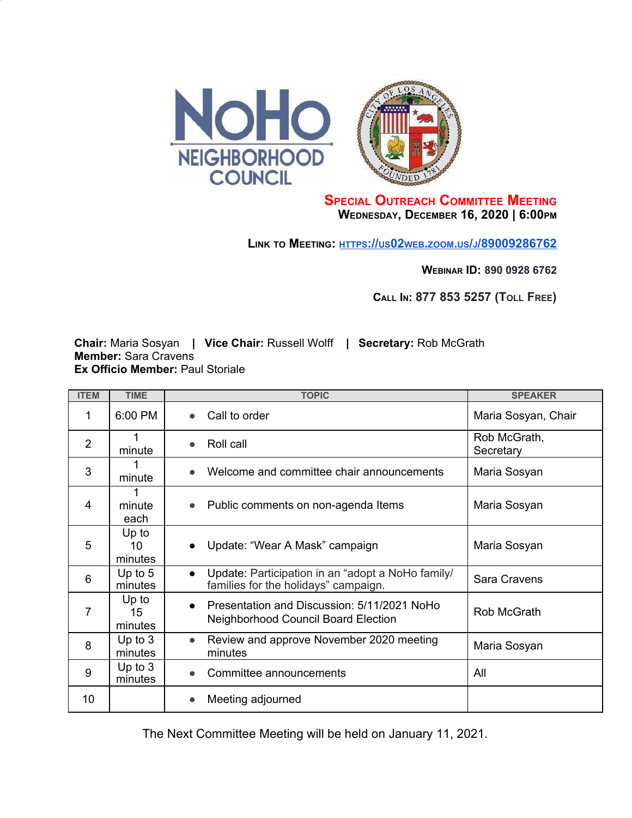

## **SPECIAL OUTREACH COMMITTEE MEETING WEDNESDAY, DECEMBER 16, 2020 | 6:00PM**

**LINK TO MEETING: [HTTPS](https://us02web.zoom.us/j/89009286762)[://](https://us02web.zoom.us/j/89009286762)[US](https://us02web.zoom.us/j/89009286762)[02](https://us02web.zoom.us/j/89009286762)[WEB](https://us02web.zoom.us/j/89009286762)[.](https://us02web.zoom.us/j/89009286762)[ZOOM](https://us02web.zoom.us/j/89009286762)[.](https://us02web.zoom.us/j/89009286762)[US](https://us02web.zoom.us/j/89009286762)[/](https://us02web.zoom.us/j/89009286762)[J](https://us02web.zoom.us/j/89009286762)[/89009286762](https://us02web.zoom.us/j/89009286762)**

**WEBINAR ID: 890 0928 6762**

**CALL IN: 877 853 5257 (TOLL FREE)**

**Chair:** Maria Sosyan **| Vice Chair:** Russell Wolff **| Secretary:** Rob McGrath **Member:** Sara Cravens **Ex Officio Member:** Paul Storiale

| <b>ITEM</b>    | <b>TIME</b>            | <b>TOPIC</b>                                                                                           | <b>SPEAKER</b>            |
|----------------|------------------------|--------------------------------------------------------------------------------------------------------|---------------------------|
| 1              | 6:00 PM                | Call to order<br>$\bullet$                                                                             | Maria Sosyan, Chair       |
| $\overline{2}$ | minute                 | Roll call<br>$\bullet$                                                                                 | Rob McGrath,<br>Secretary |
| 3              | minute                 | Welcome and committee chair announcements                                                              | Maria Sosyan              |
| 4              | minute<br>each         | Public comments on non-agenda Items                                                                    | Maria Sosyan              |
| 5              | Up to<br>10<br>minutes | Update: "Wear A Mask" campaign<br>$\bullet$                                                            | Maria Sosyan              |
| 6              | Up to $5$<br>minutes   | Update: Participation in an "adopt a NoHo family/<br>$\bullet$<br>families for the holidays" campaign. | Sara Cravens              |
| 7              | Up to<br>15<br>minutes | Presentation and Discussion: 5/11/2021 NoHo<br>$\bullet$<br><b>Neighborhood Council Board Election</b> | Rob McGrath               |
| 8              | Up to $3$<br>minutes   | Review and approve November 2020 meeting<br>$\bullet$<br>minutes                                       | Maria Sosyan              |
| 9              | Up to $3$<br>minutes   | Committee announcements<br>$\bullet$                                                                   | All                       |
| 10             |                        | Meeting adjourned                                                                                      |                           |

The Next Committee Meeting will be held on January 11, 2021.